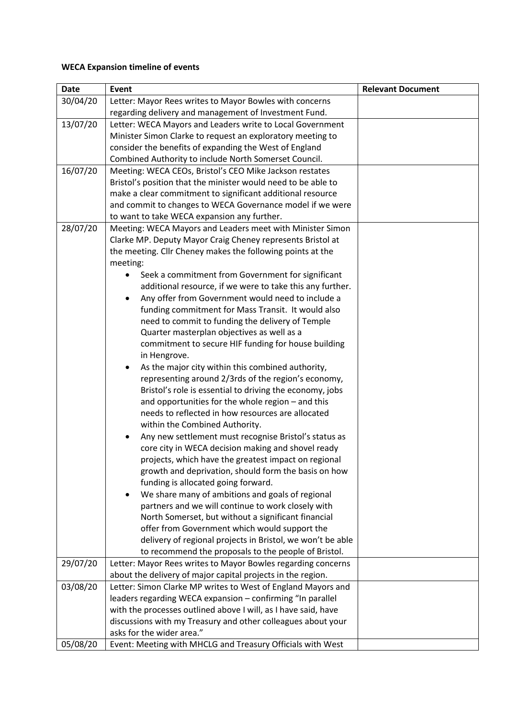## **WECA Expansion timeline of events**

| <b>Date</b> | Event                                                                                                    | <b>Relevant Document</b> |
|-------------|----------------------------------------------------------------------------------------------------------|--------------------------|
| 30/04/20    | Letter: Mayor Rees writes to Mayor Bowles with concerns                                                  |                          |
|             | regarding delivery and management of Investment Fund.                                                    |                          |
| 13/07/20    | Letter: WECA Mayors and Leaders write to Local Government                                                |                          |
|             | Minister Simon Clarke to request an exploratory meeting to                                               |                          |
|             | consider the benefits of expanding the West of England                                                   |                          |
|             | Combined Authority to include North Somerset Council.                                                    |                          |
| 16/07/20    | Meeting: WECA CEOs, Bristol's CEO Mike Jackson restates                                                  |                          |
|             | Bristol's position that the minister would need to be able to                                            |                          |
|             | make a clear commitment to significant additional resource                                               |                          |
|             | and commit to changes to WECA Governance model if we were                                                |                          |
|             | to want to take WECA expansion any further.                                                              |                          |
| 28/07/20    | Meeting: WECA Mayors and Leaders meet with Minister Simon                                                |                          |
|             | Clarke MP. Deputy Mayor Craig Cheney represents Bristol at                                               |                          |
|             | the meeting. Cllr Cheney makes the following points at the                                               |                          |
|             | meeting:                                                                                                 |                          |
|             | Seek a commitment from Government for significant                                                        |                          |
|             | additional resource, if we were to take this any further.                                                |                          |
|             | Any offer from Government would need to include a                                                        |                          |
|             | funding commitment for Mass Transit. It would also                                                       |                          |
|             | need to commit to funding the delivery of Temple                                                         |                          |
|             | Quarter masterplan objectives as well as a                                                               |                          |
|             | commitment to secure HIF funding for house building                                                      |                          |
|             | in Hengrove.                                                                                             |                          |
|             | As the major city within this combined authority,<br>representing around 2/3rds of the region's economy, |                          |
|             | Bristol's role is essential to driving the economy, jobs                                                 |                          |
|             | and opportunities for the whole region - and this                                                        |                          |
|             | needs to reflected in how resources are allocated                                                        |                          |
|             | within the Combined Authority.                                                                           |                          |
|             | Any new settlement must recognise Bristol's status as<br>$\bullet$                                       |                          |
|             | core city in WECA decision making and shovel ready                                                       |                          |
|             | projects, which have the greatest impact on regional                                                     |                          |
|             | growth and deprivation, should form the basis on how                                                     |                          |
|             | funding is allocated going forward.                                                                      |                          |
|             | We share many of ambitions and goals of regional                                                         |                          |
|             | partners and we will continue to work closely with                                                       |                          |
|             | North Somerset, but without a significant financial                                                      |                          |
|             | offer from Government which would support the                                                            |                          |
|             | delivery of regional projects in Bristol, we won't be able                                               |                          |
|             | to recommend the proposals to the people of Bristol.                                                     |                          |
| 29/07/20    | Letter: Mayor Rees writes to Mayor Bowles regarding concerns                                             |                          |
|             | about the delivery of major capital projects in the region.                                              |                          |
| 03/08/20    | Letter: Simon Clarke MP writes to West of England Mayors and                                             |                          |
|             | leaders regarding WECA expansion - confirming "In parallel                                               |                          |
|             | with the processes outlined above I will, as I have said, have                                           |                          |
|             | discussions with my Treasury and other colleagues about your                                             |                          |
|             | asks for the wider area."                                                                                |                          |
| 05/08/20    | Event: Meeting with MHCLG and Treasury Officials with West                                               |                          |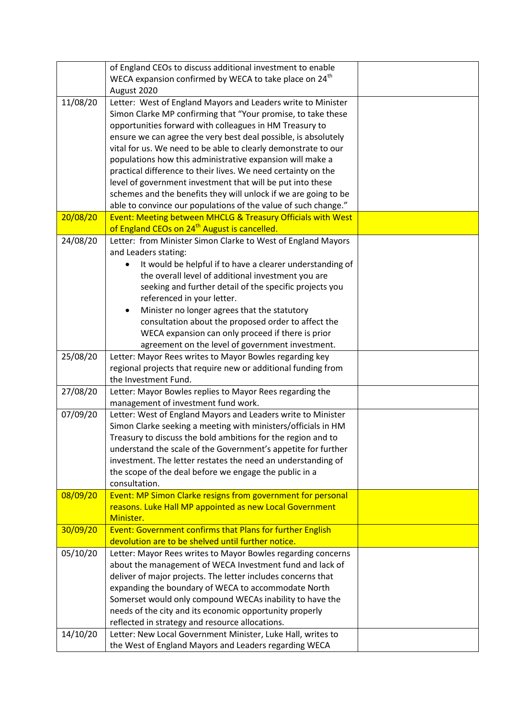|          | of England CEOs to discuss additional investment to enable         |  |
|----------|--------------------------------------------------------------------|--|
|          | WECA expansion confirmed by WECA to take place on 24 <sup>th</sup> |  |
|          | August 2020                                                        |  |
| 11/08/20 | Letter: West of England Mayors and Leaders write to Minister       |  |
|          | Simon Clarke MP confirming that "Your promise, to take these       |  |
|          | opportunities forward with colleagues in HM Treasury to            |  |
|          | ensure we can agree the very best deal possible, is absolutely     |  |
|          | vital for us. We need to be able to clearly demonstrate to our     |  |
|          | populations how this administrative expansion will make a          |  |
|          |                                                                    |  |
|          | practical difference to their lives. We need certainty on the      |  |
|          | level of government investment that will be put into these         |  |
|          | schemes and the benefits they will unlock if we are going to be    |  |
|          | able to convince our populations of the value of such change."     |  |
| 20/08/20 | Event: Meeting between MHCLG & Treasury Officials with West        |  |
|          | of England CEOs on 24 <sup>th</sup> August is cancelled.           |  |
| 24/08/20 | Letter: from Minister Simon Clarke to West of England Mayors       |  |
|          | and Leaders stating:                                               |  |
|          | It would be helpful if to have a clearer understanding of          |  |
|          | the overall level of additional investment you are                 |  |
|          | seeking and further detail of the specific projects you            |  |
|          | referenced in your letter.                                         |  |
|          | Minister no longer agrees that the statutory                       |  |
|          | consultation about the proposed order to affect the                |  |
|          | WECA expansion can only proceed if there is prior                  |  |
|          | agreement on the level of government investment.                   |  |
| 25/08/20 | Letter: Mayor Rees writes to Mayor Bowles regarding key            |  |
|          | regional projects that require new or additional funding from      |  |
|          | the Investment Fund.                                               |  |
| 27/08/20 | Letter: Mayor Bowles replies to Mayor Rees regarding the           |  |
|          | management of investment fund work.                                |  |
| 07/09/20 | Letter: West of England Mayors and Leaders write to Minister       |  |
|          | Simon Clarke seeking a meeting with ministers/officials in HM      |  |
|          | Treasury to discuss the bold ambitions for the region and to       |  |
|          | understand the scale of the Government's appetite for further      |  |
|          | investment. The letter restates the need an understanding of       |  |
|          | the scope of the deal before we engage the public in a             |  |
|          | consultation.                                                      |  |
| 08/09/20 | Event: MP Simon Clarke resigns from government for personal        |  |
|          | reasons. Luke Hall MP appointed as new Local Government            |  |
|          | Minister.                                                          |  |
| 30/09/20 | Event: Government confirms that Plans for further English          |  |
|          | devolution are to be shelved until further notice.                 |  |
| 05/10/20 | Letter: Mayor Rees writes to Mayor Bowles regarding concerns       |  |
|          | about the management of WECA Investment fund and lack of           |  |
|          | deliver of major projects. The letter includes concerns that       |  |
|          | expanding the boundary of WECA to accommodate North                |  |
|          | Somerset would only compound WECAs inability to have the           |  |
|          | needs of the city and its economic opportunity properly            |  |
|          | reflected in strategy and resource allocations.                    |  |
| 14/10/20 | Letter: New Local Government Minister, Luke Hall, writes to        |  |
|          | the West of England Mayors and Leaders regarding WECA              |  |